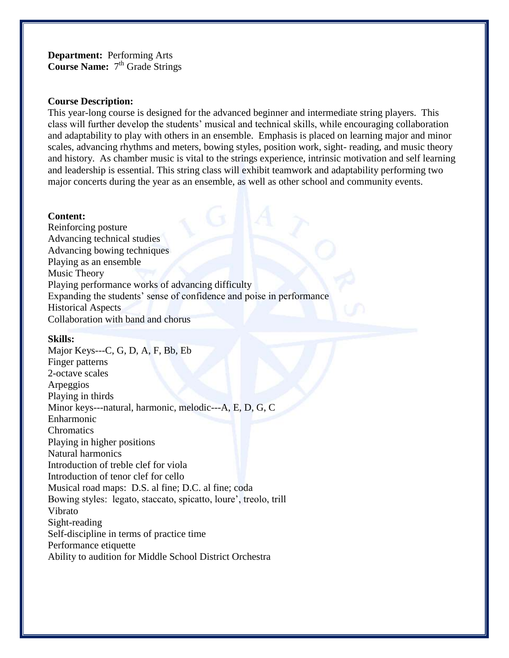**Department:** Performing Arts Course Name: 7<sup>th</sup> Grade Strings

#### **Course Description:**

This year-long course is designed for the advanced beginner and intermediate string players. This class will further develop the students' musical and technical skills, while encouraging collaboration and adaptability to play with others in an ensemble. Emphasis is placed on learning major and minor scales, advancing rhythms and meters, bowing styles, position work, sight- reading, and music theory and history. As chamber music is vital to the strings experience, intrinsic motivation and self learning and leadership is essential. This string class will exhibit teamwork and adaptability performing two major concerts during the year as an ensemble, as well as other school and community events.

## **Content:**

Reinforcing posture Advancing technical studies Advancing bowing techniques Playing as an ensemble Music Theory Playing performance works of advancing difficulty Expanding the students' sense of confidence and poise in performance Historical Aspects Collaboration with band and chorus

#### **Skills:**

Major Keys---C, G, D, A, F, Bb, Eb Finger patterns 2-octave scales Arpeggios Playing in thirds Minor keys---natural, harmonic, melodic---A, E, D, G, C Enharmonic **Chromatics** Playing in higher positions Natural harmonics Introduction of treble clef for viola Introduction of tenor clef for cello Musical road maps: D.S. al fine; D.C. al fine; coda Bowing styles: legato, staccato, spicatto, loure', treolo, trill Vibrato Sight-reading Self-discipline in terms of practice time Performance etiquette Ability to audition for Middle School District Orchestra